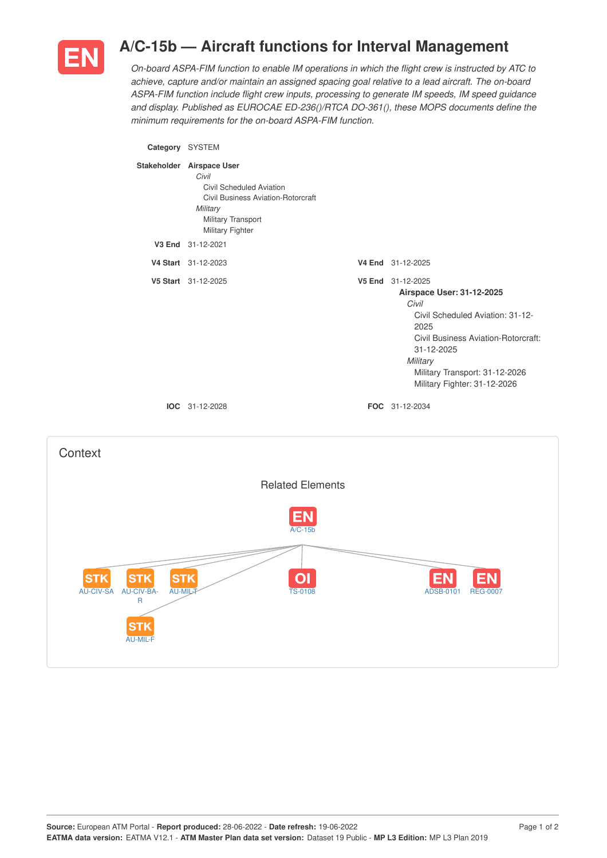

## **A/C-15b — Aircraft functions for Interval Management**

*On-board ASPA-FIM function to enable IM operations in which the flight crew is instructed by ATC to achieve, capture and/or maintain an assigned spacing goal relative to a lead aircraft. The on-board ASPA-FIM function include flight crew inputs, processing to generate IM speeds, IM speed guidance and display. Published as EUROCAE ED-236()/RTCA DO-361(), these MOPS documents define the minimum requirements for the on-board ASPA-FIM function.*

**Category** SYSTEM **Stakeholder Airspace User** *Civil* Civil Scheduled Aviation Civil Business Aviation-Rotorcraft *Military* Military Transport Military Fighter **V3 End** 31-12-2021 **V4 Start** 31-12-2023 **V4 End** 31-12-2025 **V5 Start** 31-12-2025 **V5 End** 31-12-2025 **Airspace User: 31-12-2025** *Civil* Civil Scheduled Aviation: 31-12- 2025 Civil Business Aviation-Rotorcraft: 31-12-2025 *Military* Military Transport: 31-12-2026 Military Fighter: 31-12-2026 **IOC** 31-12-2028 **FOC** 31-12-2034